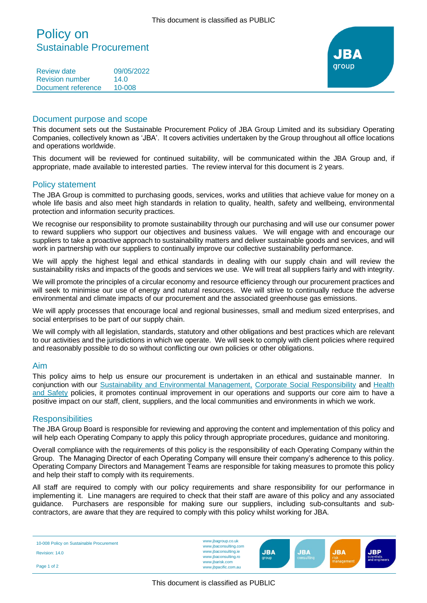# Policy on Sustainable Procurement

Review date 09/05/2022 Revision number 14.0 Document reference 10-008



#### Document purpose and scope

This document sets out the Sustainable Procurement Policy of JBA Group Limited and its subsidiary Operating Companies, collectively known as 'JBA'. It covers activities undertaken by the Group throughout all office locations and operations worldwide.

This document will be reviewed for continued suitability, will be communicated within the JBA Group and, if appropriate, made available to interested parties. The review interval for this document is 2 years.

#### Policy statement

The JBA Group is committed to purchasing goods, services, works and utilities that achieve value for money on a whole life basis and also meet high standards in relation to quality, health, safety and wellbeing, environmental protection and information security practices.

We recognise our responsibility to promote sustainability through our purchasing and will use our consumer power to reward suppliers who support our objectives and business values. We will engage with and encourage our suppliers to take a proactive approach to sustainability matters and deliver sustainable goods and services, and will work in partnership with our suppliers to continually improve our collective sustainability performance.

We will apply the highest legal and ethical standards in dealing with our supply chain and will review the sustainability risks and impacts of the goods and services we use. We will treat all suppliers fairly and with integrity.

We will promote the principles of a circular economy and resource efficiency through our procurement practices and will seek to minimise our use of energy and natural resources. We will strive to continually reduce the adverse environmental and climate impacts of our procurement and the associated greenhouse gas emissions.

We will apply processes that encourage local and regional businesses, small and medium sized enterprises, and social enterprises to be part of our supply chain.

We will comply with all legislation, standards, statutory and other obligations and best practices which are relevant to our activities and the jurisdictions in which we operate. We will seek to comply with client policies where required and reasonably possible to do so without conflicting our own policies or other obligations.

#### Aim

This policy aims to help us ensure our procurement is undertaken in an ethical and sustainable manner. In conjunction with our [Sustainability and Environmental Management,](https://www.jbagroup.co.uk/sites/www.jbagroup.co.uk/files/documents/Sustainability%20and%20Environmental%20Management%20Policy.pdf) [Corporate Social Responsibility](https://www.jbagroup.co.uk/sites/www.jbagroup.co.uk/files/documents/Corporate%20Social%20Responsibility%20Policy.pdf) and [Health](https://www.jbagroup.co.uk/sites/www.jbagroup.co.uk/files/documents/Health%20and%20Safety%20Policy%20Statement.pdf)  [and Safety](https://www.jbagroup.co.uk/sites/www.jbagroup.co.uk/files/documents/Health%20and%20Safety%20Policy%20Statement.pdf) policies, it promotes continual improvement in our operations and supports our core aim to have a positive impact on our staff, client, suppliers, and the local communities and environments in which we work.

#### **Responsibilities**

The JBA Group Board is responsible for reviewing and approving the content and implementation of this policy and will help each Operating Company to apply this policy through appropriate procedures, guidance and monitoring.

Overall compliance with the requirements of this policy is the responsibility of each Operating Company within the Group. The Managing Director of each Operating Company will ensure their company's adherence to this policy. Operating Company Directors and Management Teams are responsible for taking measures to promote this policy and help their staff to comply with its requirements.

All staff are required to comply with our policy requirements and share responsibility for our performance in implementing it. Line managers are required to check that their staff are aware of this policy and any associated guidance. Purchasers are responsible for making sure our suppliers, including sub-consultants and subcontractors, are aware that they are required to comply with this policy whilst working for JBA.

| 10-008 Policy on Sustainable Procurement<br>Revision: 14.0 | www.jbagroup.co.uk<br>www.jbaconsulting.com<br>www.jbaconsulting.ie<br>www.jbaconsulting.ro | <b>JBA</b><br>group | <b>JBA</b><br>consulting | <b>JBA</b><br>risk<br>management | <b>JBP</b><br>scientists<br>and engineers |
|------------------------------------------------------------|---------------------------------------------------------------------------------------------|---------------------|--------------------------|----------------------------------|-------------------------------------------|
| Page 1 of 2                                                | www.jbarisk.com<br>www.jbpacific.com.au                                                     |                     |                          |                                  |                                           |